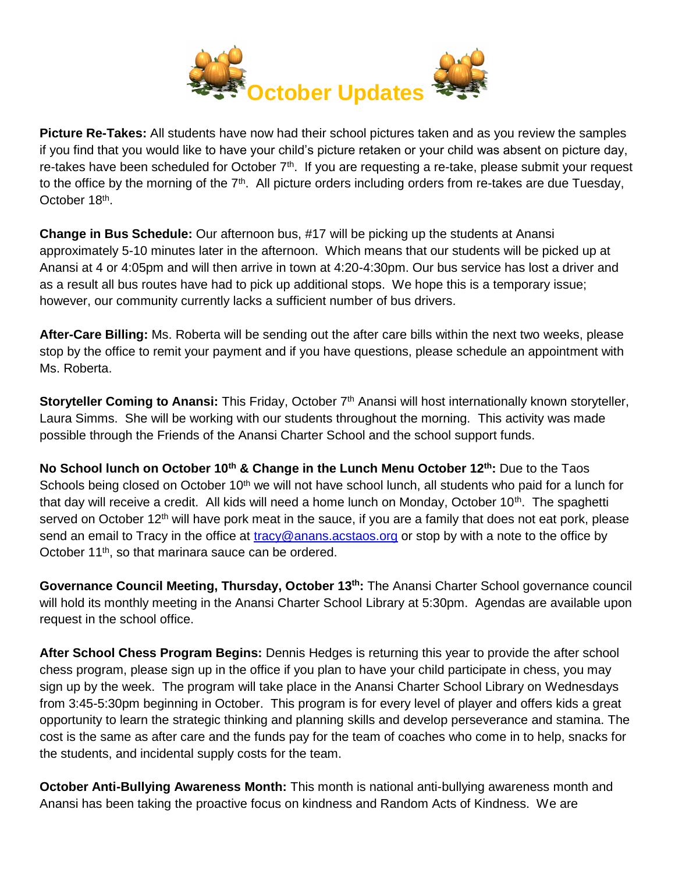

**Picture Re-Takes:** All students have now had their school pictures taken and as you review the samples if you find that you would like to have your child's picture retaken or your child was absent on picture day, re-takes have been scheduled for October  $7<sup>th</sup>$ . If you are requesting a re-take, please submit your request to the office by the morning of the  $7<sup>th</sup>$ . All picture orders including orders from re-takes are due Tuesday, October 18<sup>th</sup>.

**Change in Bus Schedule:** Our afternoon bus, #17 will be picking up the students at Anansi approximately 5-10 minutes later in the afternoon. Which means that our students will be picked up at Anansi at 4 or 4:05pm and will then arrive in town at 4:20-4:30pm. Our bus service has lost a driver and as a result all bus routes have had to pick up additional stops. We hope this is a temporary issue; however, our community currently lacks a sufficient number of bus drivers.

**After-Care Billing:** Ms. Roberta will be sending out the after care bills within the next two weeks, please stop by the office to remit your payment and if you have questions, please schedule an appointment with Ms. Roberta.

**Storyteller Coming to Anansi:** This Friday, October 7<sup>th</sup> Anansi will host internationally known storyteller, Laura Simms. She will be working with our students throughout the morning. This activity was made possible through the Friends of the Anansi Charter School and the school support funds.

**No School lunch on October 10th & Change in the Lunch Menu October 12th:** Due to the Taos Schools being closed on October 10<sup>th</sup> we will not have school lunch, all students who paid for a lunch for that day will receive a credit. All kids will need a home lunch on Monday, October 10<sup>th</sup>. The spaghetti served on October 12<sup>th</sup> will have pork meat in the sauce, if you are a family that does not eat pork, please send an email to Tracy in the office at [tracy@anans.acstaos.org](mailto:tracy@anans.acstaos.org) or stop by with a note to the office by October 11<sup>th</sup>, so that marinara sauce can be ordered.

Governance Council Meeting, Thursday, October 13<sup>th</sup>: The Anansi Charter School governance council will hold its monthly meeting in the Anansi Charter School Library at 5:30pm. Agendas are available upon request in the school office.

**After School Chess Program Begins:** Dennis Hedges is returning this year to provide the after school chess program, please sign up in the office if you plan to have your child participate in chess, you may sign up by the week. The program will take place in the Anansi Charter School Library on Wednesdays from 3:45-5:30pm beginning in October. This program is for every level of player and offers kids a great opportunity to learn the strategic thinking and planning skills and develop perseverance and stamina. The cost is the same as after care and the funds pay for the team of coaches who come in to help, snacks for the students, and incidental supply costs for the team.

**October Anti-Bullying Awareness Month:** This month is national anti-bullying awareness month and Anansi has been taking the proactive focus on kindness and Random Acts of Kindness. We are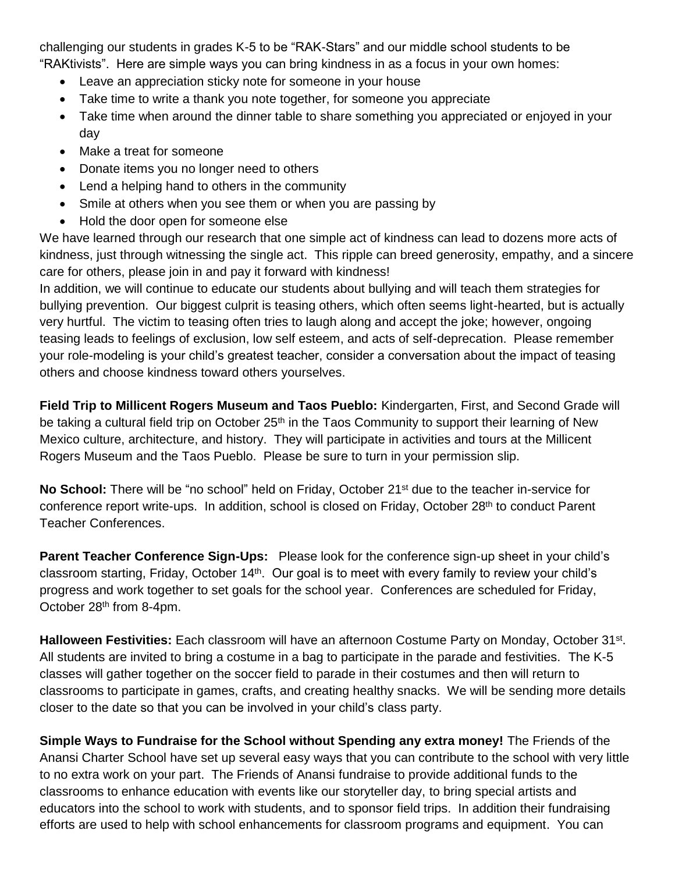challenging our students in grades K-5 to be "RAK-Stars" and our middle school students to be "RAKtivists". Here are simple ways you can bring kindness in as a focus in your own homes:

- Leave an appreciation sticky note for someone in your house
- Take time to write a thank you note together, for someone you appreciate
- Take time when around the dinner table to share something you appreciated or enjoyed in your day
- Make a treat for someone
- Donate items you no longer need to others
- Lend a helping hand to others in the community
- Smile at others when you see them or when you are passing by
- Hold the door open for someone else

We have learned through our research that one simple act of kindness can lead to dozens more acts of kindness, just through witnessing the single act. This ripple can breed generosity, empathy, and a sincere care for others, please join in and pay it forward with kindness!

In addition, we will continue to educate our students about bullying and will teach them strategies for bullying prevention. Our biggest culprit is teasing others, which often seems light-hearted, but is actually very hurtful. The victim to teasing often tries to laugh along and accept the joke; however, ongoing teasing leads to feelings of exclusion, low self esteem, and acts of self-deprecation. Please remember your role-modeling is your child's greatest teacher, consider a conversation about the impact of teasing others and choose kindness toward others yourselves.

**Field Trip to Millicent Rogers Museum and Taos Pueblo:** Kindergarten, First, and Second Grade will be taking a cultural field trip on October 25<sup>th</sup> in the Taos Community to support their learning of New Mexico culture, architecture, and history. They will participate in activities and tours at the Millicent Rogers Museum and the Taos Pueblo. Please be sure to turn in your permission slip.

**No School:** There will be "no school" held on Friday, October 21st due to the teacher in-service for conference report write-ups. In addition, school is closed on Friday, October 28th to conduct Parent Teacher Conferences.

**Parent Teacher Conference Sign-Ups:** Please look for the conference sign-up sheet in your child's classroom starting, Friday, October 14<sup>th</sup>. Our goal is to meet with every family to review your child's progress and work together to set goals for the school year. Conferences are scheduled for Friday, October 28th from 8-4pm.

Halloween Festivities: Each classroom will have an afternoon Costume Party on Monday, October 31<sup>st</sup>. All students are invited to bring a costume in a bag to participate in the parade and festivities. The K-5 classes will gather together on the soccer field to parade in their costumes and then will return to classrooms to participate in games, crafts, and creating healthy snacks. We will be sending more details closer to the date so that you can be involved in your child's class party.

**Simple Ways to Fundraise for the School without Spending any extra money!** The Friends of the Anansi Charter School have set up several easy ways that you can contribute to the school with very little to no extra work on your part. The Friends of Anansi fundraise to provide additional funds to the classrooms to enhance education with events like our storyteller day, to bring special artists and educators into the school to work with students, and to sponsor field trips. In addition their fundraising efforts are used to help with school enhancements for classroom programs and equipment. You can